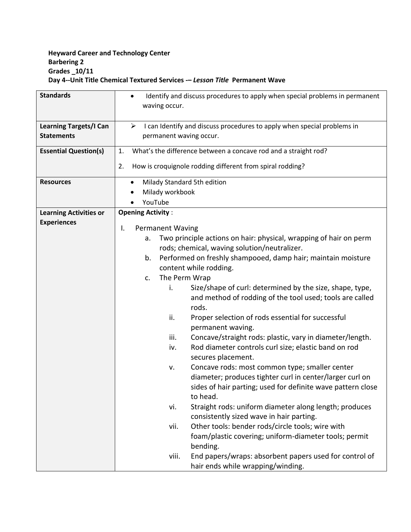## **Heyward Career and Technology Center Barbering 2 Grades \_10/11 Day 4--Unit Title Chemical Textured Services -–** *Lesson Title* **Permanent Wave**

| <b>Standards</b>              | Identify and discuss procedures to apply when special problems in permanent<br>$\bullet$<br>waving occur. |  |  |  |
|-------------------------------|-----------------------------------------------------------------------------------------------------------|--|--|--|
|                               |                                                                                                           |  |  |  |
| <b>Learning Targets/I Can</b> | ➤<br>I can Identify and discuss procedures to apply when special problems in                              |  |  |  |
| <b>Statements</b>             | permanent waving occur.                                                                                   |  |  |  |
| <b>Essential Question(s)</b>  | What's the difference between a concave rod and a straight rod?<br>1.                                     |  |  |  |
|                               | How is croquignole rodding different from spiral rodding?<br>2.                                           |  |  |  |
| <b>Resources</b>              | Milady Standard 5th edition<br>$\bullet$                                                                  |  |  |  |
|                               | Milady workbook                                                                                           |  |  |  |
|                               | YouTube                                                                                                   |  |  |  |
| <b>Learning Activities or</b> | <b>Opening Activity:</b>                                                                                  |  |  |  |
| <b>Experiences</b>            | <b>Permanent Waving</b><br>I.                                                                             |  |  |  |
|                               | Two principle actions on hair: physical, wrapping of hair on perm<br>a.                                   |  |  |  |
|                               | rods; chemical, waving solution/neutralizer.                                                              |  |  |  |
|                               | Performed on freshly shampooed, damp hair; maintain moisture<br>b.                                        |  |  |  |
|                               | content while rodding.                                                                                    |  |  |  |
|                               | The Perm Wrap<br>c.                                                                                       |  |  |  |
|                               | Size/shape of curl: determined by the size, shape, type,<br>i.                                            |  |  |  |
|                               | and method of rodding of the tool used; tools are called                                                  |  |  |  |
|                               | rods.                                                                                                     |  |  |  |
|                               | ii.<br>Proper selection of rods essential for successful<br>permanent waving.                             |  |  |  |
|                               | Concave/straight rods: plastic, vary in diameter/length.<br>iii.                                          |  |  |  |
|                               | Rod diameter controls curl size; elastic band on rod<br>iv.                                               |  |  |  |
|                               | secures placement.                                                                                        |  |  |  |
|                               | Concave rods: most common type; smaller center<br>v.                                                      |  |  |  |
|                               | diameter; produces tighter curl in center/larger curl on                                                  |  |  |  |
|                               | sides of hair parting; used for definite wave pattern close                                               |  |  |  |
|                               | to head.                                                                                                  |  |  |  |
|                               | Straight rods: uniform diameter along length; produces<br>vi.                                             |  |  |  |
|                               | consistently sized wave in hair parting.                                                                  |  |  |  |
|                               | Other tools: bender rods/circle tools; wire with<br>vii.                                                  |  |  |  |
|                               | foam/plastic covering; uniform-diameter tools; permit                                                     |  |  |  |
|                               | bending.                                                                                                  |  |  |  |
|                               | End papers/wraps: absorbent papers used for control of<br>viii.                                           |  |  |  |
|                               | hair ends while wrapping/winding.                                                                         |  |  |  |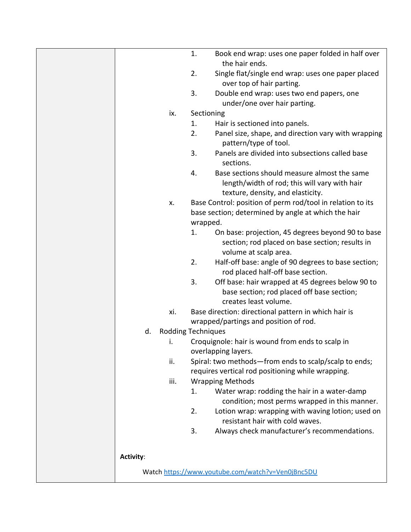|                                 | 1.         | Book end wrap: uses one paper folded in half over<br>the hair ends.                  |
|---------------------------------|------------|--------------------------------------------------------------------------------------|
|                                 | 2.         | Single flat/single end wrap: uses one paper placed                                   |
|                                 |            | over top of hair parting.                                                            |
|                                 | 3.         | Double end wrap: uses two end papers, one                                            |
|                                 |            | under/one over hair parting.                                                         |
| ix.                             | Sectioning |                                                                                      |
|                                 | 1.         | Hair is sectioned into panels.                                                       |
|                                 | 2.         | Panel size, shape, and direction vary with wrapping<br>pattern/type of tool.         |
|                                 | 3.         | Panels are divided into subsections called base                                      |
|                                 |            | sections.                                                                            |
|                                 | 4.         | Base sections should measure almost the same                                         |
|                                 |            | length/width of rod; this will vary with hair                                        |
|                                 |            | texture, density, and elasticity.                                                    |
| Х.                              |            | Base Control: position of perm rod/tool in relation to its                           |
|                                 |            | base section; determined by angle at which the hair                                  |
|                                 | wrapped.   |                                                                                      |
|                                 | 1.         | On base: projection, 45 degrees beyond 90 to base                                    |
|                                 |            | section; rod placed on base section; results in                                      |
|                                 |            | volume at scalp area.                                                                |
|                                 | 2.         | Half-off base: angle of 90 degrees to base section;                                  |
|                                 |            | rod placed half-off base section.                                                    |
|                                 | 3.         | Off base: hair wrapped at 45 degrees below 90 to                                     |
|                                 |            | base section; rod placed off base section;                                           |
|                                 |            | creates least volume.                                                                |
| xi.                             |            | Base direction: directional pattern in which hair is                                 |
|                                 |            | wrapped/partings and position of rod.                                                |
|                                 |            |                                                                                      |
| <b>Rodding Techniques</b><br>d. |            |                                                                                      |
| i.                              |            | Croquignole: hair is wound from ends to scalp in                                     |
|                                 |            | overlapping layers.                                                                  |
| ii.                             |            | Spiral: two methods-from ends to scalp/scalp to ends;                                |
|                                 |            | requires vertical rod positioning while wrapping.                                    |
| iii.                            |            | <b>Wrapping Methods</b>                                                              |
|                                 | 1.         | Water wrap: rodding the hair in a water-damp                                         |
|                                 |            | condition; most perms wrapped in this manner.                                        |
|                                 | 2.         | Lotion wrap: wrapping with waving lotion; used on<br>resistant hair with cold waves. |
|                                 | 3.         | Always check manufacturer's recommendations.                                         |
|                                 |            |                                                                                      |
| <b>Activity:</b>                |            |                                                                                      |
|                                 |            | Watch https://www.youtube.com/watch?v=Ven0jBnc5DU                                    |
|                                 |            |                                                                                      |